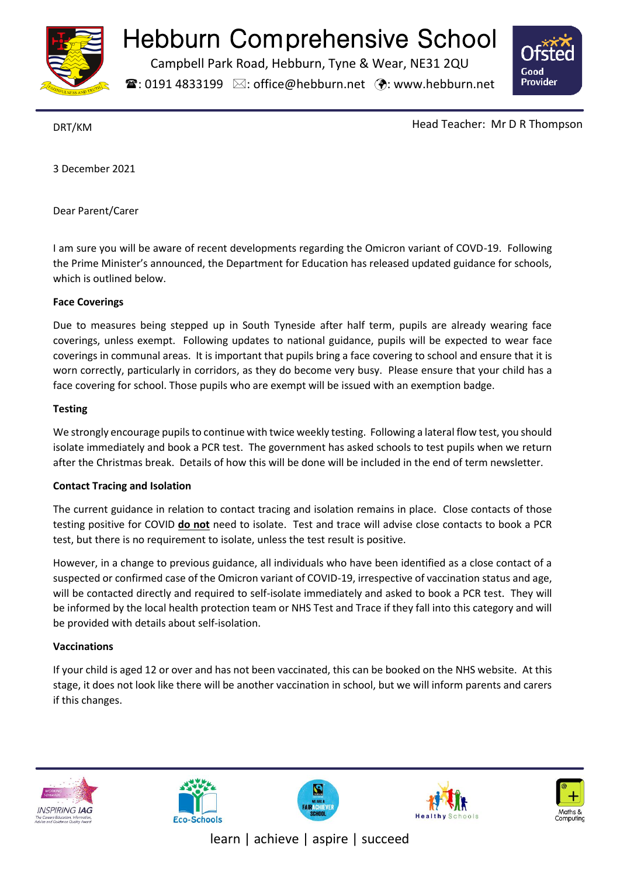

# Hebburn Comprehensive School

Campbell Park Road, Hebburn, Tyne & Wear, NE31 2QU

 $\mathbf{\widehat{a}}$ : 0191 4833199  $\boxtimes$ : office@hebburn.net  $\ddot{\bm{\cdot}}$ : www.hebburn.net



DRT/KM Head Teacher: Mr D R Thompson

3 December 2021

Dear Parent/Carer

I am sure you will be aware of recent developments regarding the Omicron variant of COVD-19. Following the Prime Minister's announced, the Department for Education has released updated guidance for schools, which is outlined below.

### **Face Coverings**

Due to measures being stepped up in South Tyneside after half term, pupils are already wearing face coverings, unless exempt. Following updates to national guidance, pupils will be expected to wear face coverings in communal areas. It is important that pupils bring a face covering to school and ensure that it is worn correctly, particularly in corridors, as they do become very busy. Please ensure that your child has a face covering for school. Those pupils who are exempt will be issued with an exemption badge.

### **Testing**

We strongly encourage pupils to continue with twice weekly testing. Following a lateral flow test, you should isolate immediately and book a PCR test. The government has asked schools to test pupils when we return after the Christmas break. Details of how this will be done will be included in the end of term newsletter.

### **Contact Tracing and Isolation**

The current guidance in relation to contact tracing and isolation remains in place. Close contacts of those testing positive for COVID **do not** need to isolate. Test and trace will advise close contacts to book a PCR test, but there is no requirement to isolate, unless the test result is positive.

However, in a change to previous guidance, all individuals who have been identified as a close contact of a suspected or confirmed case of the Omicron variant of COVID-19, irrespective of vaccination status and age, will be contacted directly and required to self-isolate immediately and asked to book a PCR test. They will be informed by the local health protection team or NHS Test and Trace if they fall into this category and will be provided with details about self-isolation.

## **Vaccinations**

If your child is aged 12 or over and has not been vaccinated, this can be booked on the NHS website. At this stage, it does not look like there will be another vaccination in school, but we will inform parents and carers if this changes.











learn | achieve | aspire | succeed